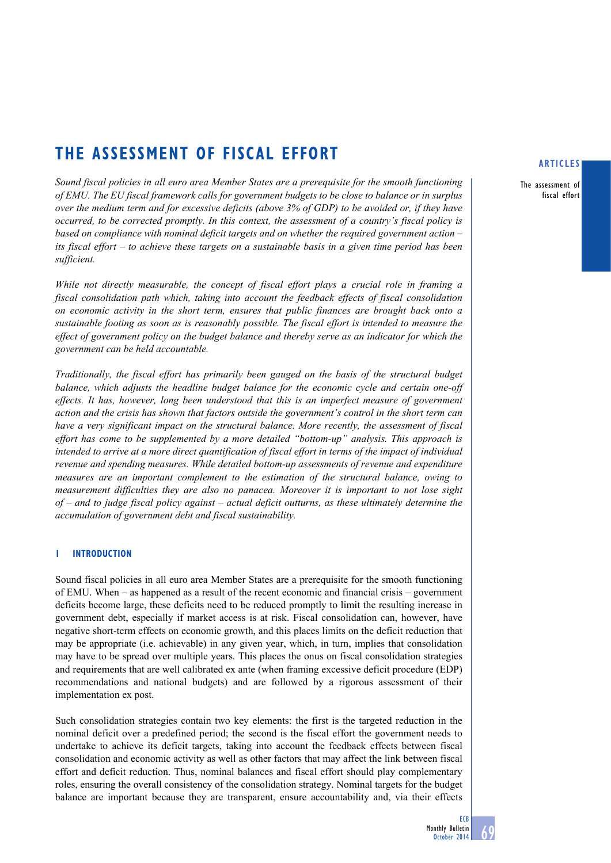# **the assessment of fiscal effort**

*Sound fiscal policies in all euro area Member States are a prerequisite for the smooth functioning of EMU. The EU fiscal framework calls for government budgets to be close to balance or in surplus over the medium term and for excessive deficits (above 3% of GDP) to be avoided or, if they have occurred, to be corrected promptly. In this context, the assessment of a country's fiscal policy is based on compliance with nominal deficit targets and on whether the required government action – its fiscal effort – to achieve these targets on a sustainable basis in a given time period has been sufficient.* 

*While not directly measurable, the concept of fiscal effort plays a crucial role in framing a fiscal consolidation path which, taking into account the feedback effects of fiscal consolidation on economic activity in the short term, ensures that public finances are brought back onto a sustainable footing as soon as is reasonably possible. The fiscal effort is intended to measure the effect of government policy on the budget balance and thereby serve as an indicator for which the government can be held accountable.*

*Traditionally, the fiscal effort has primarily been gauged on the basis of the structural budget balance, which adjusts the headline budget balance for the economic cycle and certain one-off effects. It has, however, long been understood that this is an imperfect measure of government action and the crisis has shown that factors outside the government's control in the short term can have a very significant impact on the structural balance. More recently, the assessment of fiscal effort has come to be supplemented by a more detailed "bottom-up" analysis. This approach is intended to arrive at a more direct quantification of fiscal effort in terms of the impact of individual revenue and spending measures. While detailed bottom-up assessments of revenue and expenditure measures are an important complement to the estimation of the structural balance, owing to measurement difficulties they are also no panacea. Moreover it is important to not lose sight of – and to judge fiscal policy against – actual deficit outturns, as these ultimately determine the accumulation of government debt and fiscal sustainability.* 

# **1 Introduction**

Sound fiscal policies in all euro area Member States are a prerequisite for the smooth functioning of EMU. When – as happened as a result of the recent economic and financial crisis – government deficits become large, these deficits need to be reduced promptly to limit the resulting increase in government debt, especially if market access is at risk. Fiscal consolidation can, however, have negative short-term effects on economic growth, and this places limits on the deficit reduction that may be appropriate (i.e. achievable) in any given year, which, in turn, implies that consolidation may have to be spread over multiple years. This places the onus on fiscal consolidation strategies and requirements that are well calibrated ex ante (when framing excessive deficit procedure (EDP) recommendations and national budgets) and are followed by a rigorous assessment of their implementation ex post.

Such consolidation strategies contain two key elements: the first is the targeted reduction in the nominal deficit over a predefined period; the second is the fiscal effort the government needs to undertake to achieve its deficit targets, taking into account the feedback effects between fiscal consolidation and economic activity as well as other factors that may affect the link between fiscal effort and deficit reduction. Thus, nominal balances and fiscal effort should play complementary roles, ensuring the overall consistency of the consolidation strategy. Nominal targets for the budget balance are important because they are transparent, ensure accountability and, via their effects

#### **articles**

The assessment of fiscal effort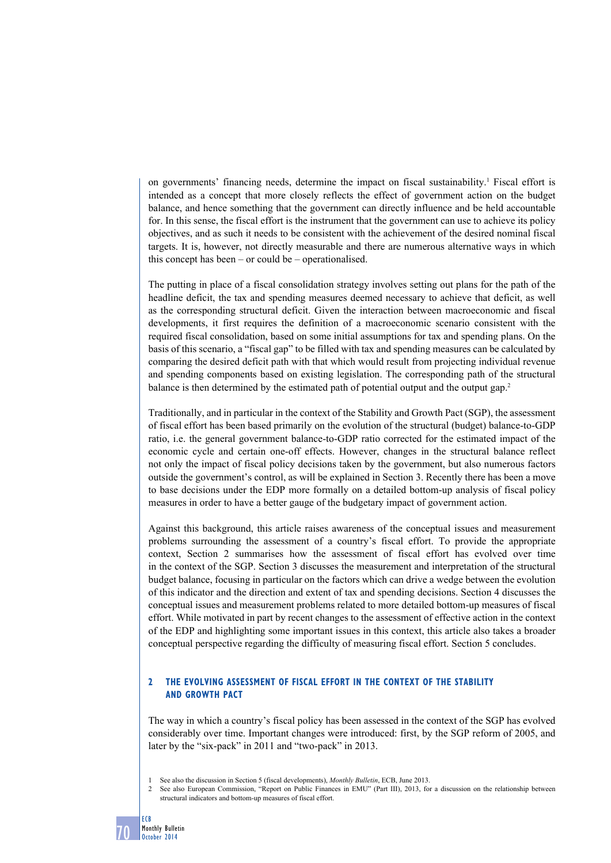on governments' financing needs, determine the impact on fiscal sustainability.<sup>1</sup> Fiscal effort is intended as a concept that more closely reflects the effect of government action on the budget balance, and hence something that the government can directly influence and be held accountable for. In this sense, the fiscal effort is the instrument that the government can use to achieve its policy objectives, and as such it needs to be consistent with the achievement of the desired nominal fiscal targets. It is, however, not directly measurable and there are numerous alternative ways in which this concept has been – or could be – operationalised.

The putting in place of a fiscal consolidation strategy involves setting out plans for the path of the headline deficit, the tax and spending measures deemed necessary to achieve that deficit, as well as the corresponding structural deficit. Given the interaction between macroeconomic and fiscal developments, it first requires the definition of a macroeconomic scenario consistent with the required fiscal consolidation, based on some initial assumptions for tax and spending plans. On the basis of this scenario, a "fiscal gap" to be filled with tax and spending measures can be calculated by comparing the desired deficit path with that which would result from projecting individual revenue and spending components based on existing legislation. The corresponding path of the structural balance is then determined by the estimated path of potential output and the output gap.2

Traditionally, and in particular in the context of the Stability and Growth Pact (SGP), the assessment of fiscal effort has been based primarily on the evolution of the structural (budget) balance-to-GDP ratio, i.e. the general government balance-to-GDP ratio corrected for the estimated impact of the economic cycle and certain one-off effects. However, changes in the structural balance reflect not only the impact of fiscal policy decisions taken by the government, but also numerous factors outside the government's control, as will be explained in Section 3. Recently there has been a move to base decisions under the EDP more formally on a detailed bottom-up analysis of fiscal policy measures in order to have a better gauge of the budgetary impact of government action.

Against this background, this article raises awareness of the conceptual issues and measurement problems surrounding the assessment of a country's fiscal effort. To provide the appropriate context, Section 2 summarises how the assessment of fiscal effort has evolved over time in the context of the SGP. Section 3 discusses the measurement and interpretation of the structural budget balance, focusing in particular on the factors which can drive a wedge between the evolution of this indicator and the direction and extent of tax and spending decisions. Section 4 discusses the conceptual issues and measurement problems related to more detailed bottom-up measures of fiscal effort. While motivated in part by recent changes to the assessment of effective action in the context of the EDP and highlighting some important issues in this context, this article also takes a broader conceptual perspective regarding the difficulty of measuring fiscal effort. Section 5 concludes.

# **2 the evolving assessment of fiscal Effort in the context of the stability and growth pact**

The way in which a country's fiscal policy has been assessed in the context of the SGP has evolved considerably over time. Important changes were introduced: first, by the SGP reform of 2005, and later by the "six-pack" in 2011 and "two-pack" in 2013.

1 See also the discussion in Section 5 (fiscal developments), *Monthly Bulletin*, ECB, June 2013.

2 See also European Commission, "Report on Public Finances in EMU" (Part III), 2013, for a discussion on the relationship between structural indicators and bottom-up measures of fiscal effort.

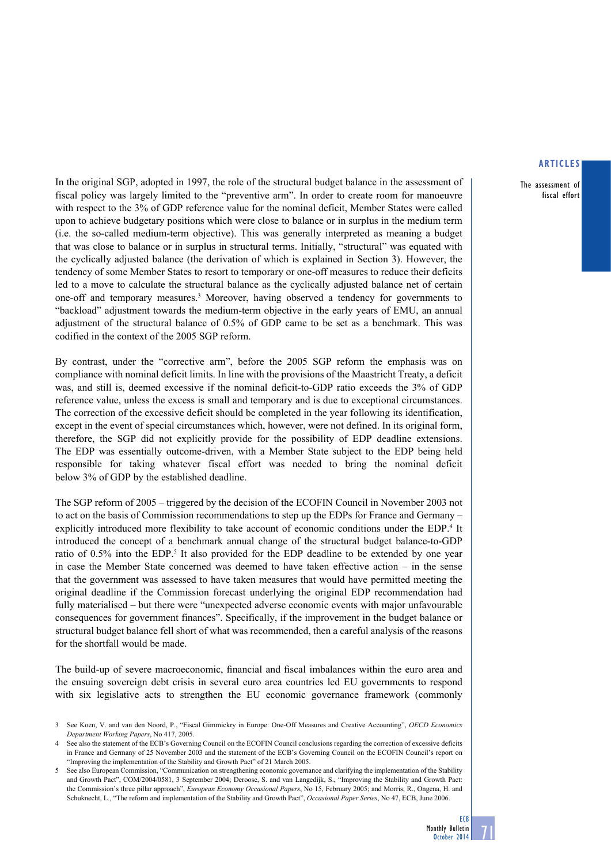The assessment of fiscal effort

In the original SGP, adopted in 1997, the role of the structural budget balance in the assessment of fiscal policy was largely limited to the "preventive arm". In order to create room for manoeuvre with respect to the 3% of GDP reference value for the nominal deficit, Member States were called upon to achieve budgetary positions which were close to balance or in surplus in the medium term (i.e. the so-called medium-term objective). This was generally interpreted as meaning a budget that was close to balance or in surplus in structural terms. Initially, "structural" was equated with the cyclically adjusted balance (the derivation of which is explained in Section 3). However, the tendency of some Member States to resort to temporary or one-off measures to reduce their deficits led to a move to calculate the structural balance as the cyclically adjusted balance net of certain one-off and temporary measures.3 Moreover, having observed a tendency for governments to "backload" adjustment towards the medium-term objective in the early years of EMU, an annual adjustment of the structural balance of 0.5% of GDP came to be set as a benchmark. This was codified in the context of the 2005 SGP reform.

By contrast, under the "corrective arm", before the 2005 SGP reform the emphasis was on compliance with nominal deficit limits. In line with the provisions of the Maastricht Treaty, a deficit was, and still is, deemed excessive if the nominal deficit-to-GDP ratio exceeds the 3% of GDP reference value, unless the excess is small and temporary and is due to exceptional circumstances. The correction of the excessive deficit should be completed in the year following its identification, except in the event of special circumstances which, however, were not defined. In its original form, therefore, the SGP did not explicitly provide for the possibility of EDP deadline extensions. The EDP was essentially outcome-driven, with a Member State subject to the EDP being held responsible for taking whatever fiscal effort was needed to bring the nominal deficit below 3% of GDP by the established deadline.

The SGP reform of 2005 – triggered by the decision of the ECOFIN Council in November 2003 not to act on the basis of Commission recommendations to step up the EDPs for France and Germany – explicitly introduced more flexibility to take account of economic conditions under the EDP.<sup>4</sup> It introduced the concept of a benchmark annual change of the structural budget balance-to-GDP ratio of 0.5% into the EDP.<sup>5</sup> It also provided for the EDP deadline to be extended by one year in case the Member State concerned was deemed to have taken effective action – in the sense that the government was assessed to have taken measures that would have permitted meeting the original deadline if the Commission forecast underlying the original EDP recommendation had fully materialised – but there were "unexpected adverse economic events with major unfavourable consequences for government finances". Specifically, if the improvement in the budget balance or structural budget balance fell short of what was recommended, then a careful analysis of the reasons for the shortfall would be made.

The build-up of severe macroeconomic, financial and fiscal imbalances within the euro area and the ensuing sovereign debt crisis in several euro area countries led EU governments to respond with six legislative acts to strengthen the EU economic governance framework (commonly



<sup>3</sup> See Koen, V. and van den Noord, P., "Fiscal Gimmickry in Europe: One-Off Measures and Creative Accounting", *OECD Economics Department Working Papers*, No 417, 2005.

See also the statement of the ECB's Governing Council on the ECOFIN Council conclusions regarding the correction of excessive deficits in France and Germany of 25 November 2003 and the statement of the ECB's Governing Council on the ECOFIN Council's report on "Improving the implementation of the Stability and Growth Pact" of 21 March 2005.

See also European Commission, "Communication on strengthening economic governance and clarifying the implementation of the Stability and Growth Pact", COM/2004/0581, 3 September 2004; Deroose, S. and van Langedijk, S., "Improving the Stability and Growth Pact: the Commission's three pillar approach", *European Economy Occasional Papers*, No 15, February 2005; and Morris, R., Ongena, H. and Schuknecht, L., "The reform and implementation of the Stability and Growth Pact", *Occasional Paper Series*, No 47, ECB, June 2006.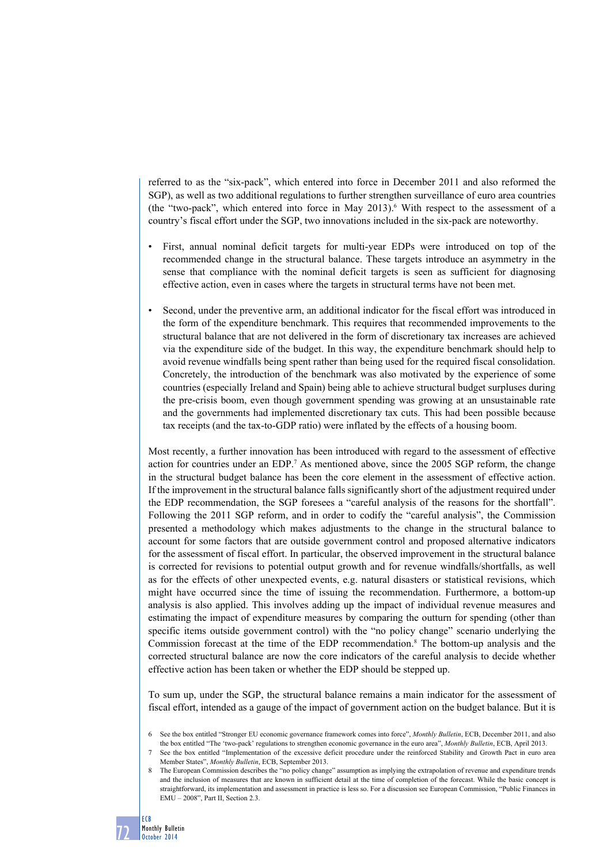referred to as the "six-pack", which entered into force in December 2011 and also reformed the SGP), as well as two additional regulations to further strengthen surveillance of euro area countries (the "two-pack", which entered into force in May 2013).<sup>6</sup> With respect to the assessment of a country's fiscal effort under the SGP, two innovations included in the six-pack are noteworthy.

- First, annual nominal deficit targets for multi-year EDPs were introduced on top of the recommended change in the structural balance. These targets introduce an asymmetry in the sense that compliance with the nominal deficit targets is seen as sufficient for diagnosing effective action, even in cases where the targets in structural terms have not been met.
- Second, under the preventive arm, an additional indicator for the fiscal effort was introduced in the form of the expenditure benchmark. This requires that recommended improvements to the structural balance that are not delivered in the form of discretionary tax increases are achieved via the expenditure side of the budget. In this way, the expenditure benchmark should help to avoid revenue windfalls being spent rather than being used for the required fiscal consolidation. Concretely, the introduction of the benchmark was also motivated by the experience of some countries (especially Ireland and Spain) being able to achieve structural budget surpluses during the pre-crisis boom, even though government spending was growing at an unsustainable rate and the governments had implemented discretionary tax cuts. This had been possible because tax receipts (and the tax-to-GDP ratio) were inflated by the effects of a housing boom.

Most recently, a further innovation has been introduced with regard to the assessment of effective action for countries under an EDP.<sup>7</sup> As mentioned above, since the 2005 SGP reform, the change in the structural budget balance has been the core element in the assessment of effective action. If the improvement in the structural balance falls significantly short of the adjustment required under the EDP recommendation, the SGP foresees a "careful analysis of the reasons for the shortfall". Following the 2011 SGP reform, and in order to codify the "careful analysis", the Commission presented a methodology which makes adjustments to the change in the structural balance to account for some factors that are outside government control and proposed alternative indicators for the assessment of fiscal effort. In particular, the observed improvement in the structural balance is corrected for revisions to potential output growth and for revenue windfalls/shortfalls, as well as for the effects of other unexpected events, e.g. natural disasters or statistical revisions, which might have occurred since the time of issuing the recommendation. Furthermore, a bottom-up analysis is also applied. This involves adding up the impact of individual revenue measures and estimating the impact of expenditure measures by comparing the outturn for spending (other than specific items outside government control) with the "no policy change" scenario underlying the Commission forecast at the time of the EDP recommendation.<sup>8</sup> The bottom-up analysis and the corrected structural balance are now the core indicators of the careful analysis to decide whether effective action has been taken or whether the EDP should be stepped up.

To sum up, under the SGP, the structural balance remains a main indicator for the assessment of fiscal effort, intended as a gauge of the impact of government action on the budget balance. But it is

ECB

<sup>6</sup> See the box entitled "Stronger EU economic governance framework comes into force", *Monthly Bulletin*, ECB, December 2011, and also the box entitled "The 'two-pack' regulations to strengthen economic governance in the euro area", *Monthly Bulletin*, ECB, April 2013.

See the box entitled "Implementation of the excessive deficit procedure under the reinforced Stability and Growth Pact in euro area Member States", *Monthly Bulletin*, ECB, September 2013.

The European Commission describes the "no policy change" assumption as implying the extrapolation of revenue and expenditure trends and the inclusion of measures that are known in sufficient detail at the time of completion of the forecast. While the basic concept is straightforward, its implementation and assessment in practice is less so. For a discussion see European Commission, "Public Finances in EMU – 2008", Part II, Section 2.3.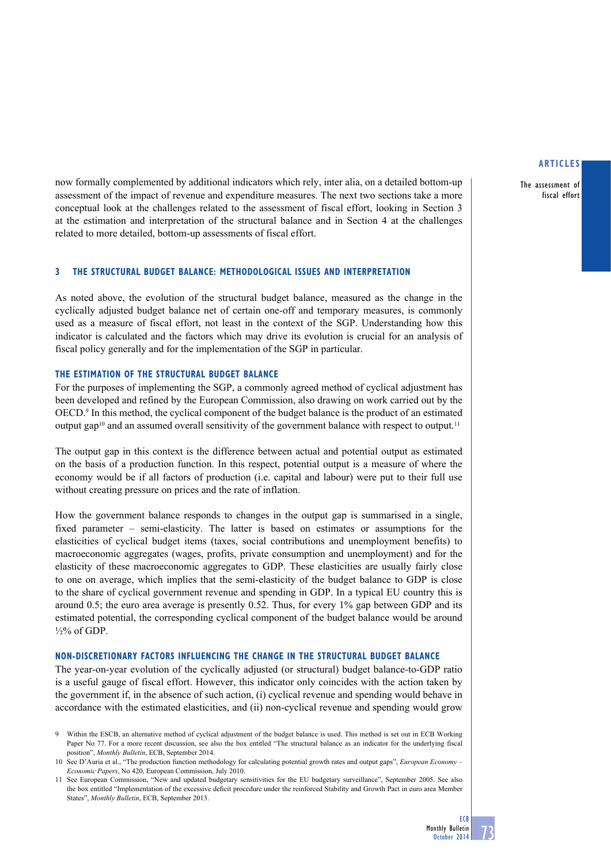The assessment of fiscal effort

now formally complemented by additional indicators which rely, inter alia, on a detailed bottom-up assessment of the impact of revenue and expenditure measures. The next two sections take a more conceptual look at the challenges related to the assessment of fiscal effort, looking in Section 3 at the estimation and interpretation of the structural balance and in Section 4 at the challenges related to more detailed, bottom-up assessments of fiscal effort.

## **3 The structural budget balance: methodological issues and interpretation**

As noted above, the evolution of the structural budget balance, measured as the change in the cyclically adjusted budget balance net of certain one-off and temporary measures, is commonly used as a measure of fiscal effort, not least in the context of the SGP. Understanding how this indicator is calculated and the factors which may drive its evolution is crucial for an analysis of fiscal policy generally and for the implementation of the SGP in particular.

## **The estimation of the structural budget balance**

For the purposes of implementing the SGP, a commonly agreed method of cyclical adjustment has been developed and refined by the European Commission, also drawing on work carried out by the OECD.<sup>9</sup> In this method, the cyclical component of the budget balance is the product of an estimated output gap<sup>10</sup> and an assumed overall sensitivity of the government balance with respect to output.<sup>11</sup>

The output gap in this context is the difference between actual and potential output as estimated on the basis of a production function. In this respect, potential output is a measure of where the economy would be if all factors of production (i.e. capital and labour) were put to their full use without creating pressure on prices and the rate of inflation.

How the government balance responds to changes in the output gap is summarised in a single, fixed parameter – semi-elasticity. The latter is based on estimates or assumptions for the elasticities of cyclical budget items (taxes, social contributions and unemployment benefits) to macroeconomic aggregates (wages, profits, private consumption and unemployment) and for the elasticity of these macroeconomic aggregates to GDP. These elasticities are usually fairly close to one on average, which implies that the semi-elasticity of the budget balance to GDP is close to the share of cyclical government revenue and spending in GDP. In a typical EU country this is around 0.5; the euro area average is presently 0.52. Thus, for every 1% gap between GDP and its estimated potential, the corresponding cyclical component of the budget balance would be around  $\frac{1}{2}\%$  of GDP.

## **Non-discretionary factors influencing the change in the structural budget balance**

The year-on-year evolution of the cyclically adjusted (or structural) budget balance-to-GDP ratio is a useful gauge of fiscal effort. However, this indicator only coincides with the action taken by the government if, in the absence of such action, (i) cyclical revenue and spending would behave in accordance with the estimated elasticities, and (ii) non-cyclical revenue and spending would grow

<sup>9</sup> Within the ESCB, an alternative method of cyclical adjustment of the budget balance is used. This method is set out in ECB Working Paper No 77. For a more recent discussion, see also the box entitled "The structural balance as an indicator for the underlying fiscal position", *Monthly Bulletin*, ECB, September 2014.

<sup>10</sup> See D'Auria et al., "The production function methodology for calculating potential growth rates and output gaps", *European Economy – Economic Papers*, No 420, European Commission, July 2010.

<sup>11</sup> See European Commission, "New and updated budgetary sensitivities for the EU budgetary surveillance", September 2005. See also the box entitled "Implementation of the excessive deficit procedure under the reinforced Stability and Growth Pact in euro area Member States", *Monthly Bulletin*, ECB, September 2013.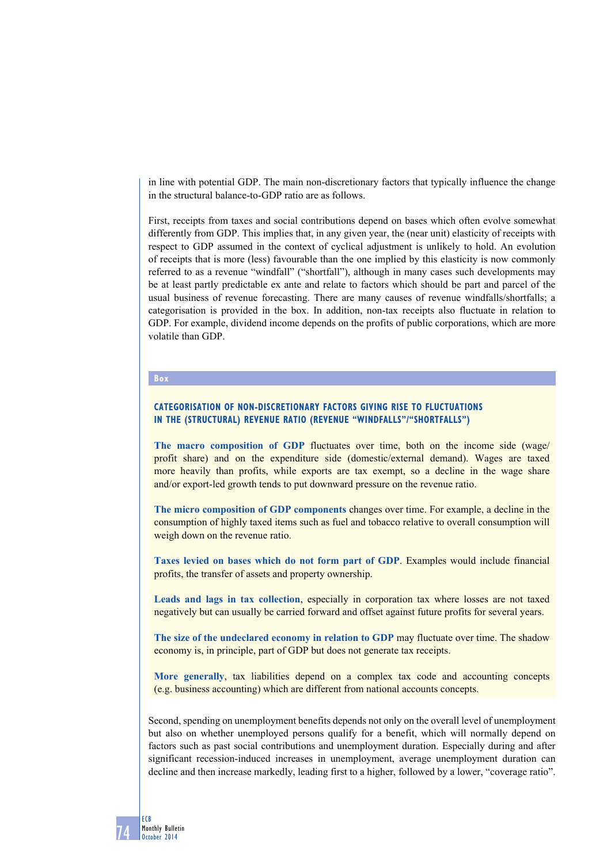in line with potential GDP. The main non-discretionary factors that typically influence the change in the structural balance-to-GDP ratio are as follows.

First, receipts from taxes and social contributions depend on bases which often evolve somewhat differently from GDP. This implies that, in any given year, the (near unit) elasticity of receipts with respect to GDP assumed in the context of cyclical adjustment is unlikely to hold. An evolution of receipts that is more (less) favourable than the one implied by this elasticity is now commonly referred to as a revenue "windfall" ("shortfall"), although in many cases such developments may be at least partly predictable ex ante and relate to factors which should be part and parcel of the usual business of revenue forecasting. There are many causes of revenue windfalls/shortfalls; a categorisation is provided in the box. In addition, non-tax receipts also fluctuate in relation to GDP. For example, dividend income depends on the profits of public corporations, which are more volatile than GDP.

## **Box**

# **Categorisation of non-discretionary factors giving rise to fluctuations in the (structural) revenue ratio (revenue "windfalls"/"shortfalls")**

**The macro composition of GDP** fluctuates over time, both on the income side (wage/ profit share) and on the expenditure side (domestic/external demand). Wages are taxed more heavily than profits, while exports are tax exempt, so a decline in the wage share and/or export-led growth tends to put downward pressure on the revenue ratio.

**The micro composition of GDP components** changes over time. For example, a decline in the consumption of highly taxed items such as fuel and tobacco relative to overall consumption will weigh down on the revenue ratio.

**Taxes levied on bases which do not form part of GDP**. Examples would include financial profits, the transfer of assets and property ownership.

**Leads and lags in tax collection**, especially in corporation tax where losses are not taxed negatively but can usually be carried forward and offset against future profits for several years.

**The size of the undeclared economy in relation to GDP** may fluctuate over time. The shadow economy is, in principle, part of GDP but does not generate tax receipts.

**More generally**, tax liabilities depend on a complex tax code and accounting concepts (e.g. business accounting) which are different from national accounts concepts.

Second, spending on unemployment benefits depends not only on the overall level of unemployment but also on whether unemployed persons qualify for a benefit, which will normally depend on factors such as past social contributions and unemployment duration. Especially during and after significant recession-induced increases in unemployment, average unemployment duration can decline and then increase markedly, leading first to a higher, followed by a lower, "coverage ratio".

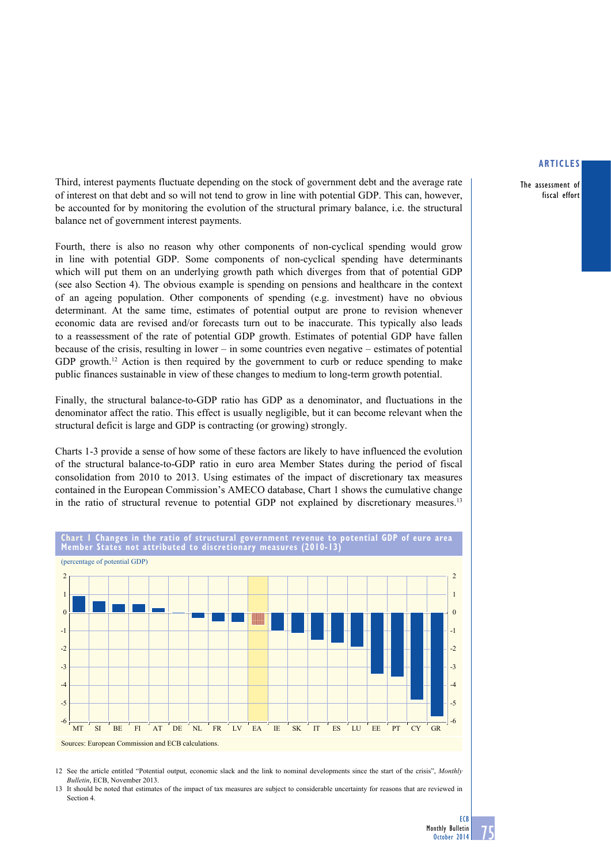The assessment of fiscal effort

Third, interest payments fluctuate depending on the stock of government debt and the average rate of interest on that debt and so will not tend to grow in line with potential GDP. This can, however, be accounted for by monitoring the evolution of the structural primary balance, i.e. the structural balance net of government interest payments.

Fourth, there is also no reason why other components of non-cyclical spending would grow in line with potential GDP. Some components of non-cyclical spending have determinants which will put them on an underlying growth path which diverges from that of potential GDP (see also Section 4). The obvious example is spending on pensions and healthcare in the context of an ageing population. Other components of spending (e.g. investment) have no obvious determinant. At the same time, estimates of potential output are prone to revision whenever economic data are revised and/or forecasts turn out to be inaccurate. This typically also leads to a reassessment of the rate of potential GDP growth. Estimates of potential GDP have fallen because of the crisis, resulting in lower – in some countries even negative – estimates of potential GDP growth.<sup>12</sup> Action is then required by the government to curb or reduce spending to make public finances sustainable in view of these changes to medium to long-term growth potential.

Finally, the structural balance-to-GDP ratio has GDP as a denominator, and fluctuations in the denominator affect the ratio. This effect is usually negligible, but it can become relevant when the structural deficit is large and GDP is contracting (or growing) strongly.

Charts 1-3 provide a sense of how some of these factors are likely to have influenced the evolution of the structural balance-to-GDP ratio in euro area Member States during the period of fiscal consolidation from 2010 to 2013. Using estimates of the impact of discretionary tax measures contained in the European Commission's AMECO database, Chart 1 shows the cumulative change in the ratio of structural revenue to potential GDP not explained by discretionary measures.<sup>13</sup>



12 See the article entitled "Potential output, economic slack and the link to nominal developments since the start of the crisis", *Monthly Bulletin*, ECB, November 2013.

13 It should be noted that estimates of the impact of tax measures are subject to considerable uncertainty for reasons that are reviewed in Section 4.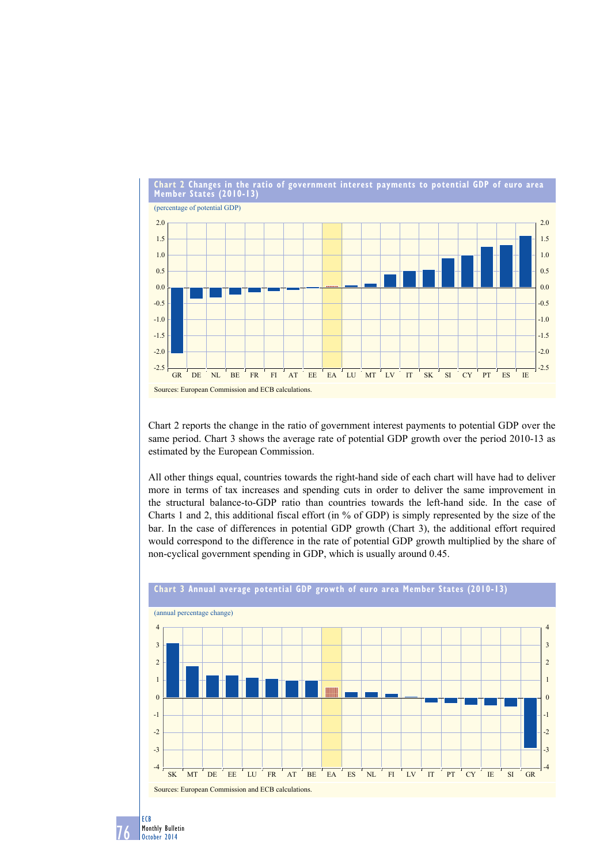

Chart 2 reports the change in the ratio of government interest payments to potential GDP over the same period. Chart 3 shows the average rate of potential GDP growth over the period 2010-13 as estimated by the European Commission.

All other things equal, countries towards the right-hand side of each chart will have had to deliver more in terms of tax increases and spending cuts in order to deliver the same improvement in the structural balance-to-GDP ratio than countries towards the left-hand side. In the case of Charts 1 and 2, this additional fiscal effort (in % of GDP) is simply represented by the size of the bar. In the case of differences in potential GDP growth (Chart 3), the additional effort required would correspond to the difference in the rate of potential GDP growth multiplied by the share of non-cyclical government spending in GDP, which is usually around 0.45.



76 ECB Monthly Bulletin October 2014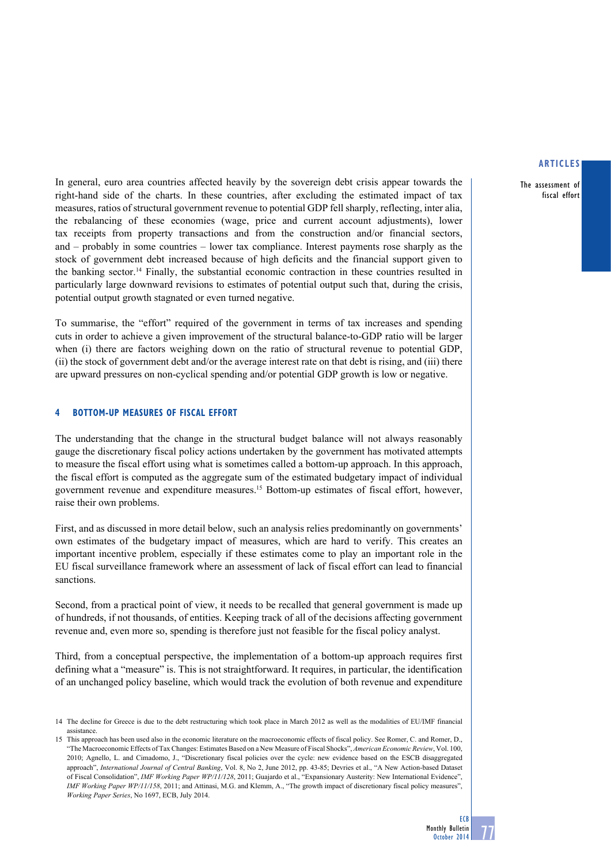The assessment of fiscal effort

In general, euro area countries affected heavily by the sovereign debt crisis appear towards the right-hand side of the charts. In these countries, after excluding the estimated impact of tax measures, ratios of structural government revenue to potential GDP fellsharply, reflecting, inter alia, the rebalancing of these economies (wage, price and current account adjustments), lower tax receipts from property transactions and from the construction and/or financial sectors, and – probably in some countries – lower tax compliance. Interest payments rose sharply as the stock of government debt increased because of high deficits and the financial support given to the banking sector.14 Finally, the substantial economic contraction in these countries resulted in particularly large downward revisions to estimates of potential output such that, during the crisis, potential output growth stagnated or even turned negative.

To summarise, the "effort" required of the government in terms of tax increases and spending cuts in order to achieve a given improvement of the structural balance-to-GDP ratio will be larger when (i) there are factors weighing down on the ratio of structural revenue to potential GDP, (ii) the stock of government debt and/or the average interest rate on that debt is rising, and (iii) there are upward pressures on non-cyclical spending and/or potential GDP growth is low or negative.

# **4 bottom-up measures of fiscal effort**

The understanding that the change in the structural budget balance will not always reasonably gauge the discretionary fiscal policy actions undertaken by the government has motivated attempts to measure the fiscal effort using what is sometimes called a bottom-up approach. In this approach, the fiscal effort is computed as the aggregate sum of the estimated budgetary impact of individual government revenue and expenditure measures.15 Bottom-up estimates of fiscal effort, however, raise their own problems.

First, and as discussed in more detail below, such an analysis relies predominantly on governments' own estimates of the budgetary impact of measures, which are hard to verify. This creates an important incentive problem, especially if these estimates come to play an important role in the EU fiscal surveillance framework where an assessment of lack of fiscal effort can lead to financial sanctions.

Second, from a practical point of view, it needs to be recalled that general government is made up of hundreds, if not thousands, of entities. Keeping track of all of the decisions affecting government revenue and, even more so, spending is therefore just not feasible for the fiscal policy analyst.

Third, from a conceptual perspective, the implementation of a bottom-up approach requires first defining what a "measure" is. This is not straightforward. It requires, in particular, the identification of an unchanged policy baseline, which would track the evolution of both revenue and expenditure



<sup>14</sup> The decline for Greece is due to the debt restructuring which took place in March 2012 as well as the modalities of EU/IMF financial assistance.

<sup>15</sup> This approach has been used also in the economic literature on the macroeconomic effects of fiscal policy. See Romer, C. and Romer, D., "The Macroeconomic Effects of Tax Changes: Estimates Based on a New Measure of Fiscal Shocks", *American Economic Review*, Vol. 100, 2010; Agnello, L. and Cimadomo, J., "Discretionary fiscal policies over the cycle: new evidence based on the ESCB disaggregated approach", *International Journal of Central Banking*, Vol. 8, No 2, June 2012, pp. 43-85; Devries et al., "A New Action-based Dataset of Fiscal Consolidation", *IMF Working Paper WP/11/128*, 2011; Guajardo et al., "Expansionary Austerity: New International Evidence", *IMF Working Paper WP/11/158*, 2011; and Attinasi, M.G. and Klemm, A., "The growth impact of discretionary fiscal policy measures", *Working Paper Series*, No 1697, ECB, July 2014.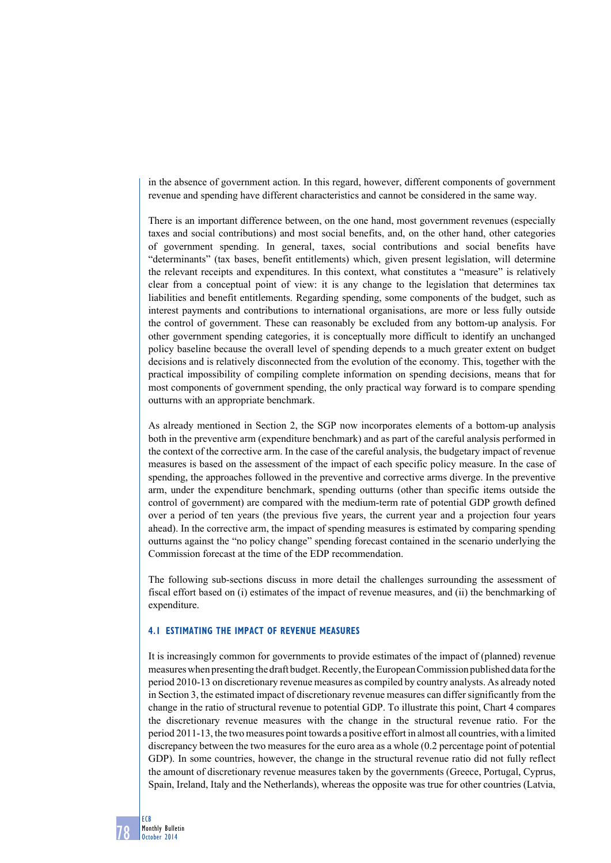in the absence of government action. In this regard, however, different components of government revenue and spending have different characteristics and cannot be considered in the same way.

There is an important difference between, on the one hand, most government revenues (especially taxes and social contributions) and most social benefits, and, on the other hand, other categories of government spending. In general, taxes, social contributions and social benefits have "determinants" (tax bases, benefit entitlements) which, given present legislation, will determine the relevant receipts and expenditures. In this context, what constitutes a "measure" is relatively clear from a conceptual point of view: it is any change to the legislation that determines tax liabilities and benefit entitlements. Regarding spending, some components of the budget, such as interest payments and contributions to international organisations, are more or less fully outside the control of government. These can reasonably be excluded from any bottom-up analysis. For other government spending categories, it is conceptually more difficult to identify an unchanged policy baseline because the overall level of spending depends to a much greater extent on budget decisions and is relatively disconnected from the evolution of the economy. This, together with the practical impossibility of compiling complete information on spending decisions, means that for most components of government spending, the only practical way forward is to compare spending outturns with an appropriate benchmark.

As already mentioned in Section 2, the SGP now incorporates elements of a bottom-up analysis both in the preventive arm (expenditure benchmark) and as part of the careful analysis performed in the context of the corrective arm. In the case of the careful analysis, the budgetary impact of revenue measures is based on the assessment of the impact of each specific policy measure. In the case of spending, the approaches followed in the preventive and corrective arms diverge. In the preventive arm, under the expenditure benchmark, spending outturns (other than specific items outside the control of government) are compared with the medium-term rate of potential GDP growth defined over a period of ten years (the previous five years, the current year and a projection four years ahead). In the corrective arm, the impact of spending measures is estimated by comparing spending outturns against the "no policy change" spending forecast contained in the scenario underlying the Commission forecast at the time of the EDP recommendation.

The following sub-sections discuss in more detail the challenges surrounding the assessment of fiscal effort based on (i) estimates of the impact of revenue measures, and (ii) the benchmarking of expenditure.

### **4.1 Estimating The impact of revenue measures**

It is increasingly common for governments to provide estimates of the impact of (planned) revenue measures when presenting the draft budget. Recently, the European Commission published data for the period 2010-13 on discretionary revenue measures as compiled by country analysts. As already noted in Section 3, the estimated impact of discretionary revenue measures can differ significantly from the change in the ratio of structural revenue to potential GDP. To illustrate this point, Chart 4 compares the discretionary revenue measures with the change in the structural revenue ratio. For the period 2011-13, the two measures point towards a positive effort in almost all countries, with a limited discrepancy between the two measures for the euro area as a whole (0.2 percentage point of potential GDP). In some countries, however, the change in the structural revenue ratio did not fully reflect the amount of discretionary revenue measures taken by the governments (Greece, Portugal, Cyprus, Spain, Ireland, Italy and the Netherlands), whereas the opposite was true for other countries (Latvia,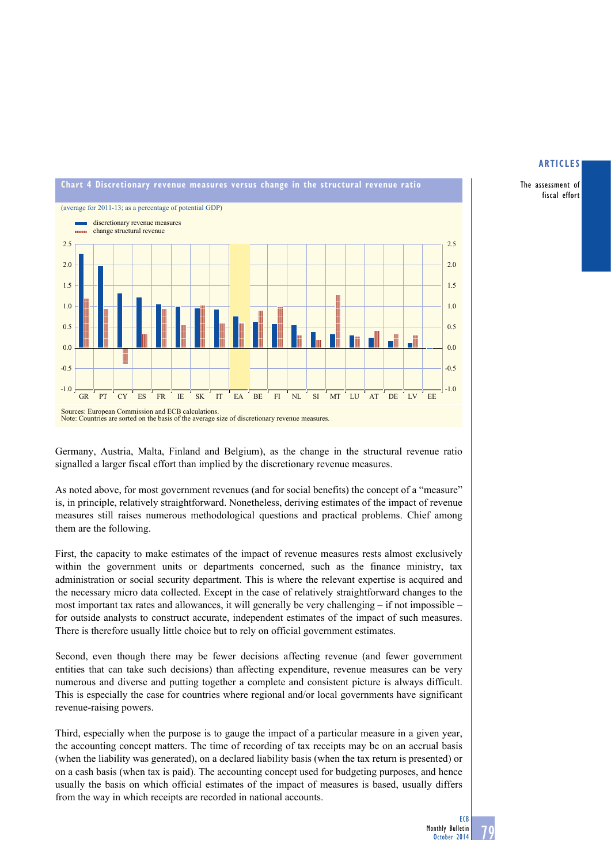

The assessment of fiscal effort



Germany, Austria, Malta, Finland and Belgium), as the change in the structural revenue ratio signalled a larger fiscal effort than implied by the discretionary revenue measures.

As noted above, for most government revenues (and for social benefits) the concept of a "measure" is, in principle, relatively straightforward. Nonetheless, deriving estimates of the impact of revenue measures still raises numerous methodological questions and practical problems. Chief among them are the following.

First, the capacity to make estimates of the impact of revenue measures rests almost exclusively within the government units or departments concerned, such as the finance ministry, tax administration or social security department. This is where the relevant expertise is acquired and the necessary micro data collected. Except in the case of relatively straightforward changes to the most important tax rates and allowances, it will generally be very challenging – if not impossible – for outside analysts to construct accurate, independent estimates of the impact of such measures. There is therefore usually little choice but to rely on official government estimates.

Second, even though there may be fewer decisions affecting revenue (and fewer government entities that can take such decisions) than affecting expenditure, revenue measures can be very numerous and diverse and putting together a complete and consistent picture is always difficult. This is especially the case for countries where regional and/or local governments have significant revenue-raising powers.

Third, especially when the purpose is to gauge the impact of a particular measure in a given year, the accounting concept matters. The time of recording of tax receipts may be on an accrual basis (when the liability was generated), on a declared liability basis (when the tax return is presented) or on a cash basis (when tax is paid). The accounting concept used for budgeting purposes, and hence usually the basis on which official estimates of the impact of measures is based, usually differs from the way in which receipts are recorded in national accounts.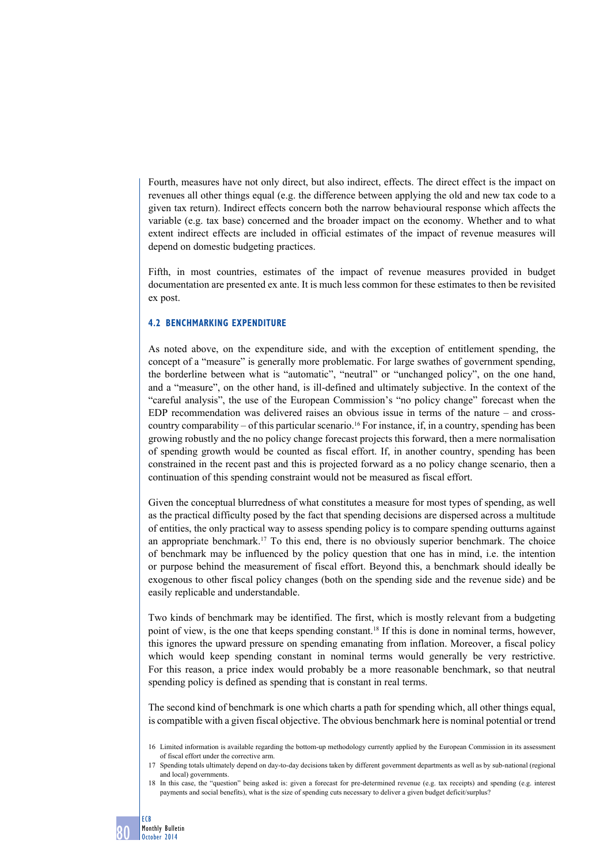Fourth, measures have not only direct, but also indirect, effects. The direct effect is the impact on revenues all other things equal (e.g. the difference between applying the old and new tax code to a given tax return). Indirect effects concern both the narrow behavioural response which affects the variable (e.g. tax base) concerned and the broader impact on the economy. Whether and to what extent indirect effects are included in official estimates of the impact of revenue measures will depend on domestic budgeting practices.

Fifth, in most countries, estimates of the impact of revenue measures provided in budget documentation are presented ex ante. It is much less common for these estimates to then be revisited ex post.

# **4.2 BENCHMARKing expenditure**

As noted above, on the expenditure side, and with the exception of entitlement spending, the concept of a "measure" is generally more problematic. For large swathes of government spending, the borderline between what is "automatic", "neutral" or "unchanged policy", on the one hand, and a "measure", on the other hand, is ill-defined and ultimately subjective. In the context of the "careful analysis", the use of the European Commission's "no policy change" forecast when the EDP recommendation was delivered raises an obvious issue in terms of the nature – and crosscountry comparability – of this particular scenario.<sup>16</sup> For instance, if, in a country, spending has been growing robustly and the no policy change forecast projects this forward, then a mere normalisation of spending growth would be counted as fiscal effort. If, in another country, spending has been constrained in the recent past and this is projected forward as a no policy change scenario, then a continuation of this spending constraint would not be measured as fiscal effort.

Given the conceptual blurredness of what constitutes a measure for most types of spending, as well as the practical difficulty posed by the fact that spending decisions are dispersed across a multitude of entities, the only practical way to assess spending policy is to compare spending outturns against an appropriate benchmark.17 To this end, there is no obviously superior benchmark. The choice of benchmark may be influenced by the policy question that one has in mind, i.e. the intention or purpose behind the measurement of fiscal effort. Beyond this, a benchmark should ideally be exogenous to other fiscal policy changes (both on the spending side and the revenue side) and be easily replicable and understandable.

Two kinds of benchmark may be identified. The first, which is mostly relevant from a budgeting point of view, is the one that keeps spending constant.<sup>18</sup> If this is done in nominal terms, however, this ignores the upward pressure on spending emanating from inflation. Moreover, a fiscal policy which would keep spending constant in nominal terms would generally be very restrictive. For this reason, a price index would probably be a more reasonable benchmark, so that neutral spending policy is defined as spending that is constant in real terms.

The second kind of benchmark is one which charts a path for spending which, all other things equal, is compatible with a given fiscal objective. The obvious benchmark here is nominal potential or trend

<sup>16</sup> Limited information is available regarding the bottom-up methodology currently applied by the European Commission in its assessment of fiscal effort under the corrective arm.

<sup>17</sup> Spending totals ultimately depend on day-to-day decisions taken by different government departments as well as by sub-national (regional and local) governments.

<sup>18</sup> In this case, the "question" being asked is: given a forecast for pre-determined revenue (e.g. tax receipts) and spending (e.g. interest payments and social benefits), what is the size of spending cuts necessary to deliver a given budget deficit/surplus?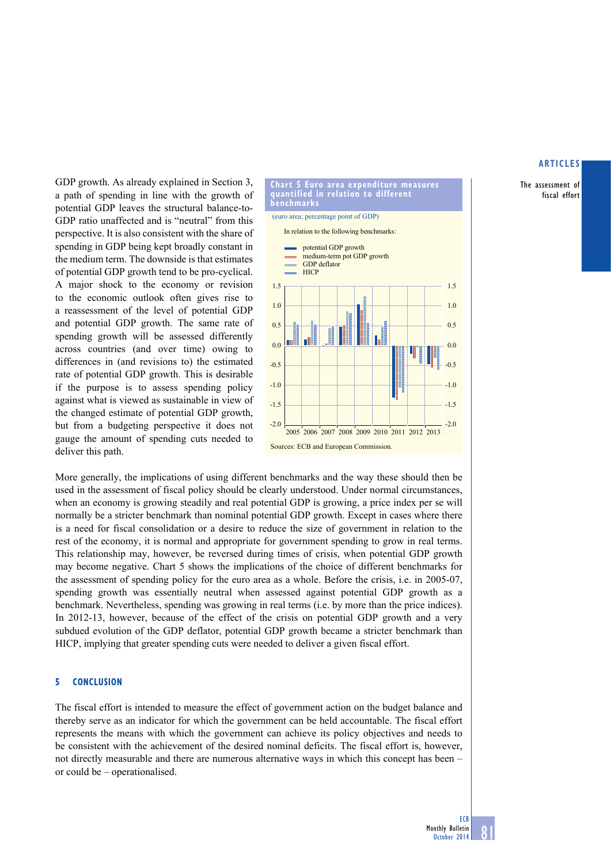The assessment of fiscal effort

GDP growth. As already explained in Section 3, a path of spending in line with the growth of potential GDP leaves the structural balance-to-GDP ratio unaffected and is "neutral" from this perspective. It is also consistent with the share of spending in GDP being kept broadly constant in the medium term. The downside is that estimates of potential GDP growth tend to be pro-cyclical. A major shock to the economy or revision to the economic outlook often gives rise to a reassessment of the level of potential GDP and potential GDP growth. The same rate of spending growth will be assessed differently across countries (and over time) owing to differences in (and revisions to) the estimated rate of potential GDP growth. This is desirable if the purpose is to assess spending policy against what is viewed as sustainable in view of the changed estimate of potential GDP growth, but from a budgeting perspective it does not gauge the amount of spending cuts needed to deliver this path.

## **chart 5 euro area expenditure measures quantified in relation to different benchmarks** (euro area; percentage point of GDP)



More generally, the implications of using different benchmarks and the way these should then be used in the assessment of fiscal policy should be clearly understood. Under normal circumstances, when an economy is growing steadily and real potential GDP is growing, a price index per se will normally be a stricter benchmark than nominal potential GDP growth. Except in cases where there is a need for fiscal consolidation or a desire to reduce the size of government in relation to the rest of the economy, it is normal and appropriate for government spending to grow in real terms. This relationship may, however, be reversed during times of crisis, when potential GDP growth may become negative. Chart 5 shows the implications of the choice of different benchmarks for the assessment of spending policy for the euro area as a whole. Before the crisis, i.e. in 2005-07, spending growth was essentially neutral when assessed against potential GDP growth as a benchmark. Nevertheless, spending was growing in real terms (i.e. by more than the price indices). In 2012-13, however, because of the effect of the crisis on potential GDP growth and a very subdued evolution of the GDP deflator, potential GDP growth became a stricter benchmark than HICP, implying that greater spending cuts were needed to deliver a given fiscal effort.

## **5 Conclusion**

The fiscal effort is intended to measure the effect of government action on the budget balance and thereby serve as an indicator for which the government can be held accountable. The fiscal effort represents the means with which the government can achieve its policy objectives and needs to be consistent with the achievement of the desired nominal deficits. The fiscal effort is, however, not directly measurable and there are numerous alternative ways in which this concept has been – or could be – operationalised.